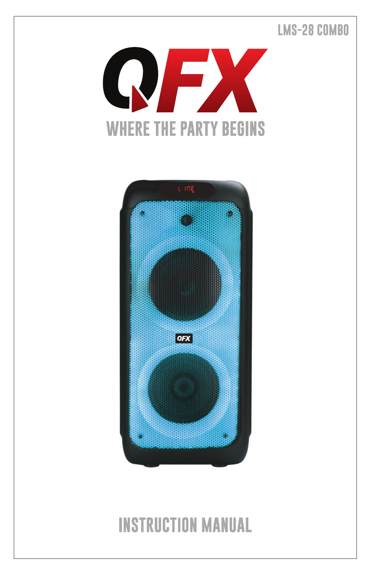## **LMS-28 COMBO**





## ※ Independent Karaoke reverberation adjustment makes Karaoke performance as professional  $\frac{1}{2}$  High-quality components and processing equipment generates  $\frac{1}{2}$

its dignified and extraordinary appearance, along with fashion elements.

※ Adopt separated channel HI-FI design to get **high fidelity sound effect.**

**User Manual for PBX-312SM Portable Speaker**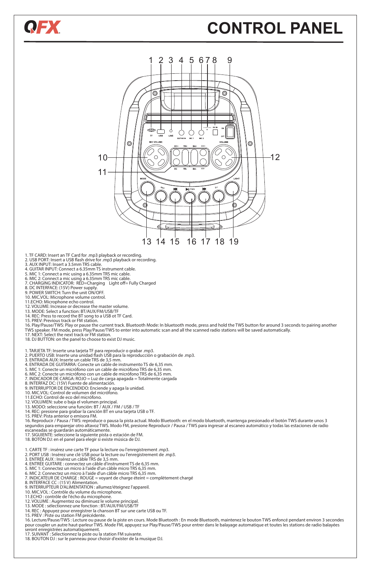# **CONTROL PANEL**



- 1. TF CARD: Insert an TF Card for .mp3 playback or recording.<br>2. USB PORT: Insert a USB flash drive for .mp3 playback or recording.
	- 3. AUX INPUT: Insert a 3.5mm TRS cable. 2. USB PORT: Insert a U

2.

5. 6.

Front panel

QEX

- 
- 4. GUITAR INPUT: Connect a 6.35mm TS instrument cable. 5. MIC 1: Connect a mic using a 6.35mm TRS mic cable. 3.LINE input
	-
- 6. MIC 2: Connect a mic using a 6.35mm TRS mic cable. 7. CHARGING INDICATOR: RED=Charging Light o= Fully Charged 4.Guitar input
	- 7. CHARGING INDICATOR: RED=Charging Light<br>8. DC INTERFACE: (15V) Power supply.<br>9. POWER SWITCH: Turn the unit ON/OFF.
	- 9. POWER SWITCH: Turn the unit ON/OFF.<br>10. MIC.VOL: Microphone volume control.
	-
- 10. MIC.VOL: Microphone volume control.<br>11.ECHO: Microphone echo control.<br>12. VOLLIME: Increase or decrease the mas
	- 12. VOLUME: Increase or decrease the master volume.
- 13. MODE: Select a function: BT/AUX/FM/USB/TF 14. REC: Press to record the BT song to a USB ot TF Card. 15. PREV: Previous track or FM station. 12. VOLOMIL: increase of decrease the master volume.<br>13. MODE: Select a function: BT/AUX/FM/USB/TF
- 14. REC: Press to record the BT song to<br>15. PREV: Previous track or FM station.
- 16. Play/Pause/TWS: Play or pause the current track. Bluetooth Mode: In bluetooth mode, press and hold the TWS button for around 3 seconds to pairing another<br>TWS speaker. FM mode, press Play/Pause/TWS to enter into automat
	-
- 17. NEXT: Select the next track or FM station.<br>18. DJ BUTTON: on the panel to choose to exist DJ music.
	- 18. DJ BUTTON: on the panel to choose to exist DJ music. Microphone karaoke echo adjust
	-
- 1. TARJETA TF: Inserte una tarjeta TF para reproducir o grabar .mp3. 2. PUERTO USB: Inserte una unidad ash USB para la reproducción o grabación de .mp3. 3. ENTRADA AUX: Inserte un cable TRS de 3,5 mm. 11.ECHO: TREBLE:Treble adjustment
- 3. ENTRADA AUX: Inserte un cable TRS de 3,5 mm.<br>4. ENTRADA DE GUITARRA: Conecte un cable de ins
	- 4. ENTRADA DE GUITARRA: Conecte un cable de instrumento TS de 6,35 mm. 5. MIC 1: Conecte un micrófono con un cable de micrófono TRS de 6,35 mm.
- 5. MIC 1: Conecte un micrófor<br>6. MIC 2: Conecte un micrófor
	- 6. MIC 2: Conecte un micrófono con un cable de micrófono TRS de 6,35 mm.<br>7. INDICADOR DE CARGA: ROJO = Luz de carga apagada = Totalmente cargada<br>8. INTERFAZ DC: (15V) Fuente de alimentación.<br>9. INTERRUPTOR DE ENCENDIDO: En
- 7. INDICADOR DE CARGA: ROJO = Luz de carga apagada = Totalm<br>8. INTERFAZ DC: (15V) Fuente de alimentación.<br>9. INTERRUPTOR DE ENCENDIDO: Enciende y apaga la unidad.
	-
	- short press for a minimation.<br>DE ENCENDIDO: Enciende y apaga la unidad.<br>The Line continuous for Line, FM Radio , FM Radio , FM Radio , FM Radio , FM Radio , FM Radio , FM Radio , FM
	- 10. MIC.VOL: Control de volumen del micrófono. 11.ECHO: Control de eco del micrófono.
	-
- 10. MIC.VOL: Control de Volumen del microfono.<br>11.ECHO: Control de eco del micrófono.<br>12. VOLUMEN: sube o baja el volumen principal.<br>13. MODO: seleccione una función: BT / AUX / FM / USB / TF
- 14. REC: presione para grabar la canción BT en una tarjeta USB o TF.<br>15. PREV: Pista anterior o emisora EM.
	- 15. PREV: Pista anterior o emisora FM.
- 16. Reproducir / Pausa / TWS: reproduce o pausa la pista actual. Modo Bluetooth: en el modo bluetooth, mantenga presionado el botón TWS durante unos 3<br>segundos para emparejar otro altavoz TWS. Modo FM, presione Reproducir 16. Reproduct / Pausa /TWS: reproduce o pausa la pista actual. Modo Bluetooth: en el modo bluetooth, mantenga presionado el botón TWS durante un<br>16. Reproductor: // Pausa/Tw.stro. Hywex TWS, Modo EM, precipine Bonceducir. seguitidos para emparejar otro altavoz TWS. Modo FM, presione Ne<br>escaneadas se guardarán automáticamente.
- 17. SIGUIENTE: seleccione la siguiente pista o estación de FM.<br>18. BOTÓN DJ: en el panel para elegir si existe música de DJ.
	-
- 1. CARTE TF : insérez une carte TF pour la lecture ou l'enregistrement .mp3.
- n. Pont : Insérez une clé USB pour la lecture ou l'enregistement de .mp3.<br>1. PORT USB : Insérez une clé USB pour la lecture ou l'enregistrement de .mp3.<br>3. ENTRÉE AUX : Insérez un câble TRS de 3,5 mm.
- 4. ENTRÉE GUITARE : connectez un câble d'instrument TS de 6,35 mm. 18.
	-
	-
- 3. ENTREE NON : INSEREZ UIT Laurier INSTEDENT IS (16, 6, 6, 70 mm).<br>5. MIC 1: Connectez un micro à l'aide d'iun câble micro TRS 6,35 mm.<br>6. MIC 1: Connectez un micro à l'aide d'un câble micro TRS 6,35 mm.<br>6. MIC 2: Connect
	- 8. INTERFACE CC : (15 V) Alimentation. 9. INTERRUPTEUR D'ALIMENTATION : allumez/éteignez l'appareil.
	- 10. MIC.VOL : Contrôle du volume du microphone.
	-
	-
	- 11.ECHO : contrôle de l'écho du microphone. 12. VOLUME : Augmentez ou diminuez le volume principal. 13. MODE : sélectionnez une fonction : BT/AUX/FM/USB/TF
	-
	-

14. REC : Appuyez pour enregistrer la chanson BT sur une carte USB ou TF.<br>15. PREV : Piste ou station FM précédente.<br>16. Lecture/Pause/TWS : Lecture ou pause de la piste en cours. Mode Bluetooth : En mode Bluetooth, mainte 16. Lecture/Pause/TWS : Lecture ou pause de la piste en cours. Mode Bluetooth : En mode Bluetooth, maintenez le bouton TWS enfoncé pendant environ 3 secondes<br>pour coupler un autre haut-parleur TWS. Mode FM, appuyez sur Pla

17. SUIVANT : Sélectionnez la piste ou la station FM suivante.

18. BOUTON DJ : sur le panneau pour choisir d'exister de la musique DJ.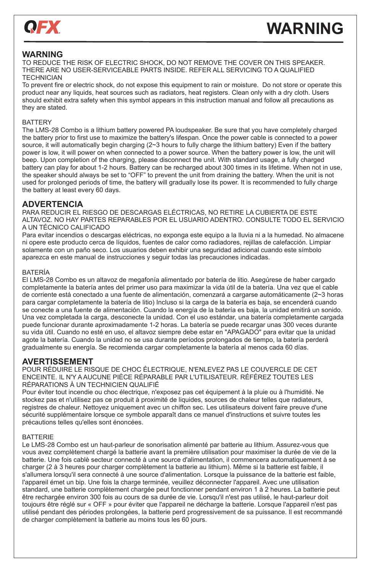

# **WARNING**

## **WARNING**

**VARNING**<br>TO REDUCE THE RISK OF ELECTRIC SHOCK, DO NOT REMOVE THE COVER ON THIS SPEAKER. THERE ARE NO USER-SERVICEABLE PARTS INSIDE. REFER ALL SERVICING TO A QUALIFIED THERE ARE NO USER-SERVICEABLE PARTS INSIDE. REFER ALL SERVICING TO A QUALIFIED **TECHNICIAN TECHNICIAN** 

To prevent fire or electric shock, do not expose this equipment to rain or moisture. Do not store or operate this product near any liquids, heat sources such as radiators, heat registers. Clean only with a dry cloth. Users product near any liquids, heat sources such as radiators, heat registers. Cleari only with a dry cloth. Osers<br>should exhibit extra safety when this symbol appears in this instruction manual and follow all precautions as they are stated. 2. If you want to want to play the most depend in the mode but mandar and follow all proceedible between the Mode but the USB or TFF or TFF or TFF or TFF or TFF or TFF or TFF or TFF or TFF or TFF or TFF or TFF or TFF or TF

#### BATTERY card mode, press the next button to find out this song and play it.

ват тект<br>The LMS-28 Combo is a lithium battery powered PA loudspeaker. Be sure that you have completely charged the battery prior to first use to maximize the battery's lifespan. Once the power cable is connected to a power the battery served to the speaker and U disk insert to the speaker and the speaker at same time, it will recor source, it will automatically begin charging (2~3 hours to fully charge the lithium battery) Even if the battery power is low, it will power on when connected to a power source. When the battery power is low, the unit will beep. Upon completion of the charging, please disconnect the unit. With standard usage, a fully charged beep. Opon completion of the charging, please disconnect the unit. Whit standard usage, a luny charged<br>battery can play for about 1-2 hours. Battery can be recharged about 300 times in its lifetime. When not in use, the speaker should always be set to "OFF" to prevent the unit from draining the battery. When the unit is not the speaker should always be set to "OFF" to prevent the unit from draining the battery. When the unit is not used for prolonged periods of time, the battery will gradually lose its power. It is recommended to fully charge the battery at least every 60 days.

## $ADVERTENCIA$

PARA REDUCIR EL RIESGO DE DESCARGAS ELÉCTRICAS, NO RETIRE LA CUBIERTA DE ESTE **1.playing** ALTAVOZ. NO HAY PARTES REPARABLES POR EL USUARIO ADENTRO. CONSULTE TODO EL SERVICIO PERITORIA EN EL SERVICIO E<br>A LINITÉONICO CALIFICADO A UN TÉCNICO CALIFICADO

Para evitar incendios o descargas eléctricas, no exponga este equipo a la lluvia ni a la humedad. No almacene ni opere este producto cerca de líquidos, fuentes de calor como radiadores, rejillas de calefacción. Limpiar p<br>Calorente este un peão esse des versións deben subjetivous es veridad adistant propola acta símbola solamente con un paño seco. Los usuarios deben exhibir una seguridad adicional cuando este símbolo suamente con un pano seco. Los usuanos deben exilibir una seguildad adicional cua<br>aparezca en este manual de instrucciones y seguir todas las precauciones indicadas.

#### BATERÍA **2.Karaoke performance**

BATERIA<br>El LMS-28 Combo es un altavoz de megafonía alimentado por batería de litio. Asegúrese de haber cargado completamente la batería antes del primer uso para maximizar la vida útil de la batería. Una vez que el cable completamente la batería antes del primer uso para maximizar la vida útil de la batería. Una vez que el cable de corriente está conectado a una fuente de alimentación, comenzará a cargarse automáticamente (2~3 horas de microphone battery and substance battery and substance battery and substance battery and substance battery and su para cargar completamente la batería de litio) Incluso si la carga de la batería es baja, se encenderá cuando se conecte a una fuente de alimentación. Cuando la energía de la batería es baja, la unidad emitirá un sonido. Una vez completada la carga, desconecte la unidad. Con el uso estándar, una batería completamente cargada puede funcionar durante aproximadamente 1-2 horas. La batería se puede recargar unas 300 veces durante<br>puluida útil Cuando no estó en uso, el altavez siempre debe estar en "APACADO" para evitar que la unidad su vida útil. Cuando no esté en uso, el altavoz siempre debe estar en "APAGADO" para evitar que la unidad agote la batería. Cuando la unidad no se usa durante períodos prolongados de tiempo, la batería perderá gradualmente su energía. Se recomienda cargar completamente la batería al menos cada 60 días.

## **AVERTISSEMENT**

AVENTINOULIMENT<br>POUR RÉDUIRE LE RISQUE DE CHOC ÉLECTRIQUE, N'ENLEVEZ PAS LE COUVERCLE DE CET ENCEINTE. IL N'Y A AUCUNE PIÈCE RÉPARABLE PAR L'UTILISATEUR. RÉFÉREZ TOUTES LES RÉPARATIONS À UN TECHNICIEN QUALIFIÉ

Pour éviter tout incendie ou choc électrique, n'exposez pas cet équipement à la pluie ou à l'humidité. Ne<br>Process pas et plutilisez pas ce produit à provimité de liquides, courses de chalour telles que redistaure stockez pas et n'utilisez pas ce produit à proximité de liquides, sources de chaleur telles que radiateurs, siockez pas et n'unisez pas ce produit à proximité de liquides, sources de chaleur telles que radiateurs,<br>registres de chaleur. Nettoyez uniquement avec un chiffon sec. Les utilisateurs doivent faire preuve d'une sécurité supplémentaire lorsque ce symbole apparaît dans ce manuel d'instructions et suivre toutes les précautions telles qu'elles sont énoncées.

#### BATTERIE

Le LMS-28 Combo est un haut-parleur de sonorisation alimenté par batterie au lithium. Assurez-vous que<br>Preus avez esprelatement chargé la batterie quent le première utilisation neur maximient la durée de vie de vous avez complètement chargé la batterie avant la première utilisation pour maximiser la durée de vie de la vois avez completement charge la battene avant la première duilsation pour maximiser la durée de vie de la<br>batterie. Une fois cablè secteur connecté à une source d'alimentation, il commencera automatiquement à se charger (2 à 3 heures pour charger complètement la batterie au lithium). Même si la batterie est faible, il s'allumera lorsqu'il sera connecté à une source d'alimentation. Lorsque la puissance de la batterie est faible,<br>Connecil émot un bin, Une faie le eberre terminée, veuillez décennecter l'ennereil. Avec une utilisation l'appareil émet un bip. Une fois la charge terminée, veuillez déconnecter l'appareil. Avec une utilisation standard, une batterie complètement chargée peut fonctionner pendant environ 1 à 2 heures. La batterie peut être rechargée environ 300 fois au cours de sa durée de vie. Lorsqu'il n'est pas utilisé, le haut-parleur doit toujours être réglé sur « OFF » pour éviter que l'appareil ne décharge la batterie. Lorsque l'appareil n'est pas utilisé pendant des périodes prolongées, la batterie perd progressivement de sa puissance. Il est recommandé de charger complètement la batterie au moins tous les 60 jours.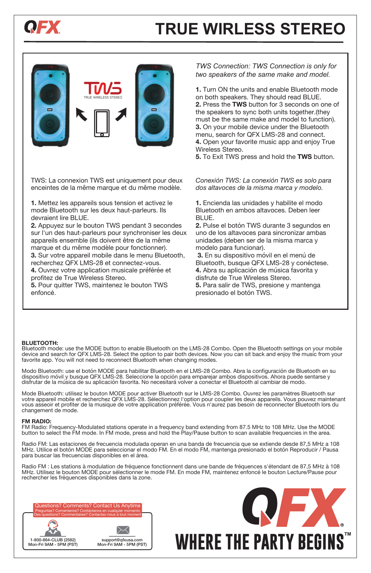

User Manual

**PORTABLE BATTERY SPEAKER**

# **TRUE WIRLESS STEREO**



※ Adopt separated channel HI-FI design to get **high fidelity sound effect.** ※ Independent Karaoke reverberation adjustment makes Karaoke

※ High-quality components and precision processing equipment generates its dignified and extraordinary appearance, along with fashion elements.

performance as professional





User Manual

**PORTABLE BATTERY SPEAKER**

TWS: La connexion TWS est uniquement pour deux enceintes de la même marque et du même modèle.

**1.** Mettez les appareils sous tension et activez le mode Bluetooth sur les deux haut-parleurs. Ils devraient lire BLUE.

**2.** Appuyez sur le bouton TWS pendant 3 secondes sur l'un des haut-parleurs pour synchroniser les deux appareils ensemble (ils doivent être de la même marque et du même modèle pour fonctionner).

**3.** Sur votre appareil mobile dans le menu Bluetooth, recherchez QFX LMS-28 et connectez-vous.

**4.** Ouvrez votre application musicale préférée et profitez de True Wireless Stereo.

**5.** Pour quitter TWS, maintenez le bouton TWS enfoncé.

*TWS Connection: TWS Connection is only for two speakers of the same make and model.* 

**1.** Turn ON the units and enable Bluetooth mode on both speakers. They should read BLUE. **2.** Press the **TWS** button for 3 seconds on one of the speakers to sync both units together.(they must be the same make and model to function). **3.** On your mobile device under the Bluetooth menu, search for QFX LMS-28 and connect. **4.** Open your favorite music app and enjoy True Wireless Stereo.

**5.** To Exit TWS press and hold the **TWS** button. ※ Adopt separated channel HI-FI design to get **high fidelity sound effect.**

> *Conexión TWS: La conexión TWS es solo para dos altavoces de la misma marca y modelo.*

**1.** Encienda las unidades y habilite el modo Bluetooth en ambos altavoces. Deben leer BLUE.

**2.** Pulse el botón TWS durante 3 segundos en uno de los altavoces para sincronizar ambas unidades (deben ser de la misma marca y modelo para funcionar).

 **3.** En su dispositivo móvil en el menú de Bluetooth, busque QFX LMS-28 y conéctese. **4.** Abra su aplicación de música favorita y disfrute de True Wireless Stereo.

**5.** Para salir de TWS, presione y mantenga presionado el botón TWS.

#### **BLUETOOTH:**

Bluetooth mode: use the MODE button to enable Bluetooth on the LMS-28 Combo. Open the Bluetooth settings on your mobile device and search for QFX LMS-28. Select the option to pair both devices. Now you can sit back and enjoy the music from your favorite app. You will not need to reconnect Bluetooth when changing modes.

Modo Bluetooth: use el botón MODE para habilitar Bluetooth en el LMS-28 Combo. Abra la configuración de Bluetooth en su<br>dispositivo móvil y busque QFX LMS-28. Seleccione la opción para emparejar ambos dispositivos. Ahora p disfrutar de la música de su aplicación favorita. No necesitará volver a conectar el Bluetooth al cambiar de modo.

Mode Bluetooth: utilisez le bouton MODE pour activer Bluetooth sur le LMS-28 Combo. Ouvrez les paramètres Bluetooth sur<br>votre appareil mobile et recherchez QFX LMS-28. Sélectionnez l'option pour coupler les deux appareils. vous asseoir et profiter de la musique de votre application préférée. Vous n'aurez pas besoin de reconnecter Bluetooth lors du changement de mode.

#### **FM RADIO:**

FM Radio: Frequency-Modulated stations operate in a frequency band extending from 87.5 MHz to 108 MHz. Use the MODE<br>button to select the FM mode. In FM mode, press and hold the Play/Pause button to scan available frequenci

Radio FM: Las estaciones de frecuencia modulada operan en una banda de frecuencia que se extiende desde 87,5 MHz a 108 MHz. Utilice el botón MODE para seleccionar el modo FM. En el modo FM, mantenga presionado el botón Reproducir / Pausa para buscar las frecuencias disponibles en el área.

Radio FM : Les stations à modulation de fréquence fonctionnent dans une bande de fréquences s'étendant de 87,5 MHz à 108 MHz. Utilisez le bouton MODE pour sélectionner le mode FM. En mode FM, maintenez enfoncé le bouton Lecture/Pause pour rechercher les fréquences disponibles dans la zone.

Questions? Comments? Contact Us Anytime Preguntas? Comentarios? Contáctenos en cualquier momento Des questions? Commentaires? Contactez-nous à tout moment





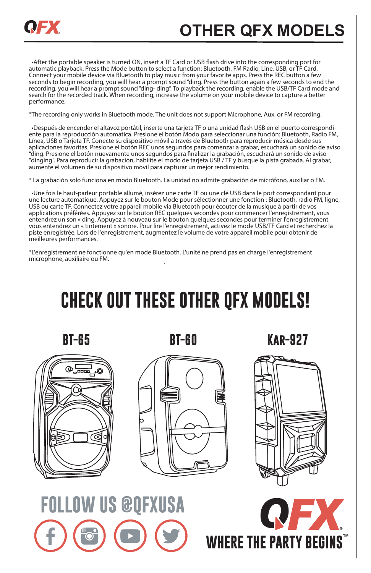

# **OTHER QFX MODELS**

 •After the portable speaker is turned ON, insert a TF Card or USB ash drive into the corresponding port for automatic playback. Press the Mode button to select a function: Bluetooth, FM Radio, Line, USB, or TF Card. Connect your mobile device via Bluetooth to play music from your favorite apps. Press the REC button a few seconds to begin recording, you will hear a prompt sound "ding. Press the button again a few seconds to end the recording, you will hear a prompt sound "ding- ding". To playback the recording, enable the USB/TF Card mode and search for the recorded track. When recording, increase the volume on your mobile device to capture a better performance.

\*The recording only works in Bluetooth mode. The unit does not support Microphone, Aux, or FM recording.

 •Después de encender el altavoz portátil, inserte una tarjeta TF o una unidad ash USB en el puerto correspondi- ente para la reproducción automática. Presione el botón Modo para seleccionar una función: Bluetooth, Radio FM, Línea, USB o Tarjeta TF. Conecte su dispositivo móvil a través de Bluetooth para reproducir música desde sus aplicaciones favoritas. Presione el botón REC unos segundos para comenzar a grabar, escuchará un sonido de aviso "ding. Presione el botón nuevamente unos segundos para finalizar la grabación, escuchará un sonido de aviso "dinging". Para reproducir la grabación, habilite el modo de tarjeta USB / TF y busque la pista grabada. Al grabar, aumente el volumen de su dispositivo móvil para capturar un mejor rendimiento.

\* La grabación solo funciona en modo Bluetooth. La unidad no admite grabación de micrófono, auxiliar o FM.

 •Une fois le haut-parleur portable allumé, insérez une carte TF ou une clé USB dans le port correspondant pour une lecture automatique. Appuyez sur le bouton Mode pour sélectionner une fonction : Bluetooth, radio FM, ligne, USB ou carte TF. Connectez votre appareil mobile via Bluetooth pour écouter de la musique à partir de vos applications préférées. Appuyez sur le bouton REC quelques secondes pour commencer l'enregistrement, vous applications préférées. Appuyez sur le bouton REC quelques secondes pour commencer l'enregistrement, vous entendrez un son « ding. Appuyez à nouveau sur le bouton quelques secondes pour terminer l'enregistrement, vous entendrez un « tintement » sonore. Pour lire l'enregistrement, activez le mode USB/TF Card et recherchez la piste enregistrée. Lors de l'enregistrement, augmentez le volume de votre appareil mobile pour obtenir de meilleures performances.

\*L'enregistrement ne fonctionne qu'en mode Bluetooth. L'unité ne prend pas en charge l'enregistrement microphone, auxiliaire ou FM. the contract of the contract of the contract of the contract of the contract of the contract of the contract of

# **CHECK OUT THESE OTHER QFX MODELS!**

**BT-65 BT-60 Kar-927**



**FOLLOW US @QFXUSA**





**WHERE THE PARTY BEGINS**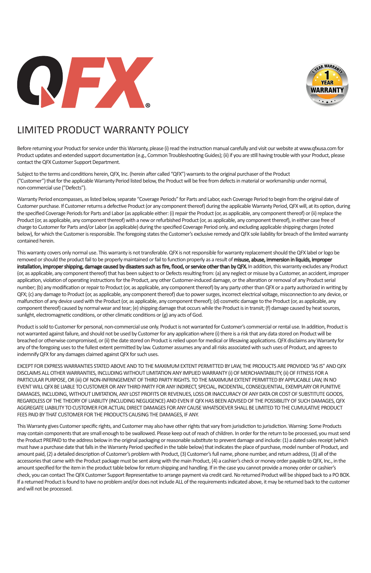



## LIMITED PRODUCT WARRANTY POLICY

Before returning your Product for service under this Warranty, please (i) read the instruction manual carefully and visit our website at www.qfxusa.com for Product updates and extended support documentation (e.g., Common Troubleshooting Guides); (ii) if you are still having trouble with your Product, please contact the QFX Customer Support Department.

Subject to the terms and conditions herein, QFX, Inc. (herein after called "QFX") warrants to the original purchaser of the Product ("Customer") that for the applicable Warranty Period listed below, the Product will be free from defects in material or workmanship under normal, non-commercial use ("Defects").

Warranty Period encompasses, as listed below, separate "Coverage Periods" for Parts and Labor, each Coverage Period to begin from the original date of Customer purchase. If Customer returns a defective Product (or any component thereof) during the applicable Warranty Period, QFX will, at its option, during the specified Coverage Periods for Parts and Labor (as applicable either: (i) repair the Product (or, as applicable, any component thereof) or (ii) replace the Product (or, as applicable, any component thereof) with a new or refurbished Product (or, as applicable, any component thereof), in either case free of charge to Customer for Parts and/or Labor (as applicable) during the specified Coverage Period only, and excluding applicable shipping charges (noted below), for which the Customer is responsible. The foregoing states the Customer's exclusive remedy and QFX sole liability for breach of the limited warranty contained herein.

This warranty covers only normal use. This warranty is not transferable. QFX is not responsible for warranty replacement should the QFX label or logo be removed or should the product fail to be properly maintained or fail to function properly as a result of misuse, abuse, immersion in liquids, improper installation, improper shipping, damage caused by disasters such as fire, flood, or service other than by QFX. In addition, this warranty excludes any Product (or, as applicable, any component thereof) that has been subject to or Defects resulting from: (a) any neglect or misuse by a Customer, an accident, improper application, violation of operating instructions for the Product, any other Customer-induced damage, or the alteration or removal of any Product serial number; (b) any modification or repair to Product (or, as applicable, any component thereof) by any party other than QFX or a party authorized in writing by QFX; (c) any damage to Product (or, as applicable, any component thereof) due to power surges, incorrect electrical voltage, misconnection to any device, or malfunction of any device used with the Product (or, as applicable, any component thereof); (d) cosmetic damage to the Product (or, as applicable, any component thereof) caused by normal wear and tear; (e) shipping damage that occurs while the Product is in transit; (f) damage caused by heat sources, sunlight, electromagnetic conditions, or other climatic conditions or (g) any acts of God.

Product is sold to Customer for personal, non-commercial use only. Product is not warranted for Customer's commercial or rental use. In addition, Product is not warranted against failure, and should not be used by Customer for any application where (i) there is a risk that any data stored on Product will be breached or otherwise compromised, or (ii) the date stored on Product is relied upon for medical or lifesaving applications. QFX disclaims any Warranty for any of the foregoing uses to the fullest extent permitted by law. Customer assumes any and all risks associated with such uses of Product, and agrees to indemnify QFX for any damages claimed against QFX for such uses.

EXCEPT FOR EXPRESS WARRANTIES STATED ABOVE AND TO THE MAXIMUM EXTENT PERMITTED BY LAW, THE PRODUCTS ARE PROVIDED "AS IS" AND QFX DISCLAIMS ALL OTHER WARRANTIES, INCLUDING WITHOUT LIMITATION ANY IMPLIED WARRANTY (i) OF MERCHANTABILITY, (ii) OF FITNESS FOR A PARTICULAR PURPOSE, OR (iii) OF NON-INFRINGEMENT OF THIRD PARTY RIGHTS. TO THE MAXIMUM EXTENT PERMITTED BY APPLICABLE LAW, IN NO EVENT WILL QFX BE LIABLE TO CUSTOMER OR ANY THIRD PARTY FOR ANY INDIRECT, SPECIAL, INCIDENTAL, CONSEQUENTIAL, EXEMPLARY OR PUNITIVE DAMAGES, INCLUDING, WITHOUT LIMITATION, ANY LOST PROFITS OR REVENUES, LOSS OR INACCURACY OF ANY DATA OR COST OF SUBSTITUTE GOODS, REGARDLESS OF THE THEORY OF LIABILITY (INCLUDING NEGLIGENCE) AND EVEN IF QFX HAS BEEN ADVISED OF THE POSSIBILITY OF SUCH DAMAGES, QFX AGGREGATE LIABILITY TO CUSTOMER FOR ACTUAL DIRECT DAMAGES FOR ANY CAUSE WHATSOEVER SHALL BE LIMITED TO THE CUMULATIVE PRODUCT FEES PAID BY THAT CUSTOMER FOR THE PRODUCTS CAUSING THE DAMAGES, IF ANY.

This Warranty gives Customer specific rights, and Customer may also have other rights that vary from jurisdiction to jurisdiction. Warning: Some Products may contain components that are small enough to be swallowed. Please keep out of reach of children. In order for the return to be processed, you must send the Product PREPAID to the address below in the original packaging or reasonable substitute to prevent damage and include: (1) a dated sales receipt (which must have a purchase date that falls in the Warranty Period specified in the table below) that indicates the place of purchase, model number of Product, and amount paid, (2) a detailed description of Customer's problem with Product, (3) Customer's full name, phone number, and return address, (3) all of the accessories that came with the Product package must be sent along with the main Product, (4) a cashier's check or money order payable to QFX, Inc., in the amount specified for the item in the product table below for return shipping and handling. If in the case you cannot provide a money order or cashier's check, you can contact The QFX Customer Support Representative to arrange payment via credit card. No returned Product will be shipped back to a PO BOX. If a returned Product is found to have no problem and/or does not include ALL of the requirements indicated above, it may be returned back to the customer and will not be processed.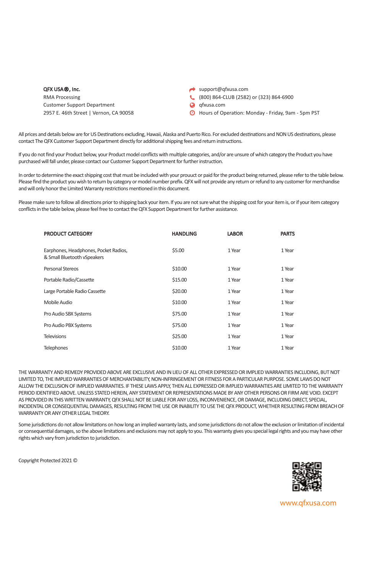#### QFX USA®, Inc.

RMA Processing Customer Support Department 2957 E. 46th Street | Vernon, CA 90058

- support@qfxusa.com
- (800) 864-CLUB (2582) or (323) 864-6900
- **Q** qfxusa.com
- Hours of Operation: Monday Friday, 9am 5pm PST

All prices and details below are for US Destinations excluding, Hawaii, Alaska and Puerto Rico. For excluded destinations and NON US destinations, please contact The QFX Customer Support Department directly for additional shipping fees and return instructions.

If you do not find your Product below, your Product model conflicts with multiple categories, and/or are unsure of which category the Product you have purchased will fall under, please contact our Customer Support Department for further instruction.

In order to determine the exact shipping cost that must be included with your prouuct or paid for the product being returned, please refer to the table below. Please find the product you wish to return by category or model number prefix. QFX will not provide any return or refund to any customer for merchandise and will only honor the Limited Warranty restrictions mentioned in this document.

Please make sure to follow all directions prior to shipping back your item. If you are not sure what the shipping cost for your item is, or if your item category conflicts in the table below, please feel free to contact the QFX Support Department for further assistance.

| <b>PRODUCT CATEGORY</b>                                              | <b>HANDLING</b> | <b>LABOR</b> | <b>PARTS</b> |
|----------------------------------------------------------------------|-----------------|--------------|--------------|
| Earphones, Headphones, Pocket Radios,<br>& Small Bluetooth vSpeakers | \$5.00          | 1 Year       | 1 Year       |
| Personal Stereos                                                     | \$10.00         | 1 Year       | 1 Year       |
| Portable Radio/Cassette                                              | \$15.00         | 1 Year       | 1 Year       |
| Large Portable Radio Cassette                                        | \$20.00         | 1 Year       | 1 Year       |
| Mobile Audio                                                         | \$10.00         | 1 Year       | 1 Year       |
| Pro Audio SBX Systems                                                | \$75.00         | 1 Year       | 1 Year       |
| Pro Audio PBX Systems                                                | \$75.00         | 1 Year       | 1 Year       |
| <b>Televisions</b>                                                   | \$25.00         | 1 Year       | 1 Year       |
| <b>Telephones</b>                                                    | \$10.00         | 1 Year       | 1 Year       |

THE WARRANTY AND REMEDY PROVIDED ABOVE ARE EXCLUSIVE AND IN LIEU OF ALL OTHER EXPRESSED OR IMPLIED WARRANTIES INCLUDING, BUT NOT LIMITED TO, THE IMPLIED WARRANTIES OF MERCHANTABILITY, NON-INFRINGEMENT OR FITNESS FOR A PARTICULAR PURPOSE. SOME LAWS DO NOT ALLOW THE EXCLUSION OF IMPLIED WARRANTIES. IF THESE LAWS APPLY, THEN ALL EXPRESSED OR IMPLIED WARRANTIES ARE LIMITED TO THE WARRANTY PERIOD IDENTIFIED ABOVE. UNLESS STATED HEREIN, ANY STATEMENT OR REPRESENTATIONS MADE BY ANY OTHER PERSONS OR FIRM ARE VOID. EXCEPT AS PROVIDED IN THIS WRITTEN WARRANTY, QFX SHALL NOT BE LIABLE FOR ANY LOSS, INCONVENIENCE, OR DAMAGE, INCLUDING DIRECT, SPECIAL, INCIDENTAL OR CONSEQUENTIAL DAMAGES, RESULTING FROM THE USE OR INABILITY TO USE THE QFX PRODUCT, WHETHER RESULTING FROM BREACH OF WARRANTY OR ANY OTHER LEGAL THEORY.

Some jurisdictions do not allow limitations on how long an implied warranty lasts, and some jurisdictions do not allow the exclusion or limitation of incidental or consequential damages, so the above limitations and exclusions may not apply to you. This warranty gives you special legal rights and you may have other rights which vary from jurisdiction to jurisdiction.

Copyright Protected 2021 ©



www.qfxusa.com